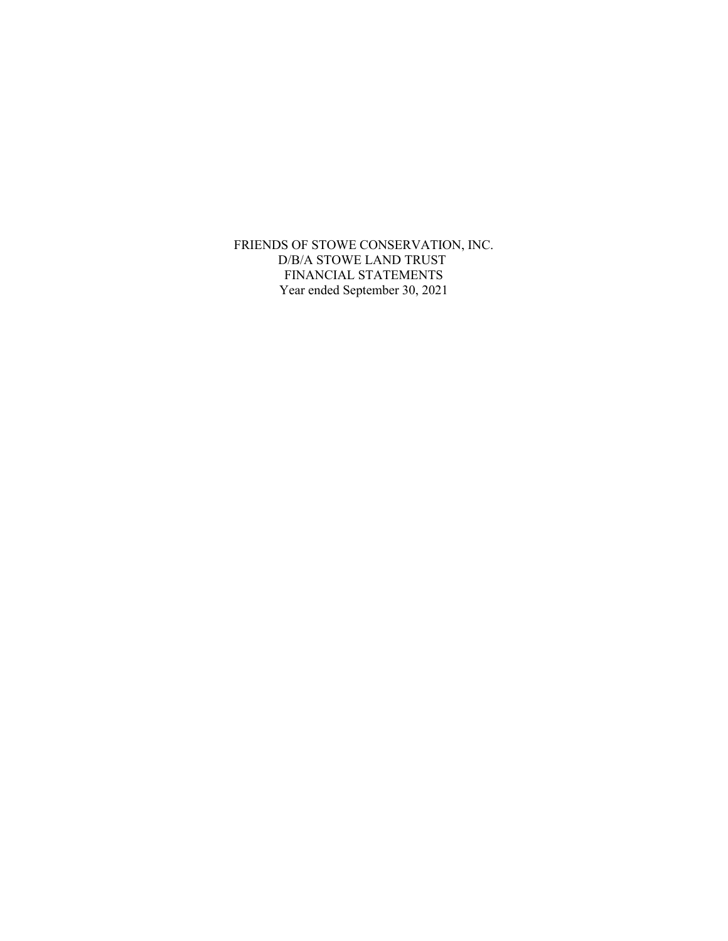FRIENDS OF STOWE CONSERVATION, INC. D/B/A STOWE LAND TRUST FINANCIAL STATEMENTS Year ended September 30, 2021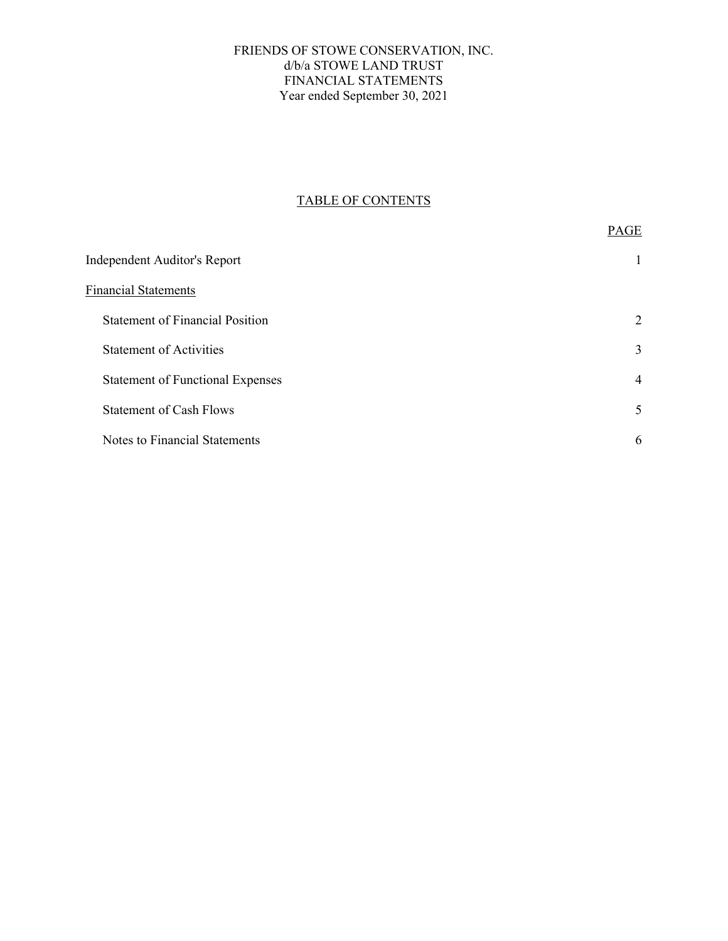# FRIENDS OF STOWE CONSERVATION, INC. d/b/a STOWE LAND TRUST FINANCIAL STATEMENTS Year ended September 30, 2021

# TABLE OF CONTENTS

| <b>Independent Auditor's Report</b>     |                |
|-----------------------------------------|----------------|
| <b>Financial Statements</b>             |                |
| <b>Statement of Financial Position</b>  | $\overline{2}$ |
| <b>Statement of Activities</b>          | 3              |
| <b>Statement of Functional Expenses</b> | $\overline{4}$ |
| <b>Statement of Cash Flows</b>          | 5              |
| <b>Notes to Financial Statements</b>    | 6              |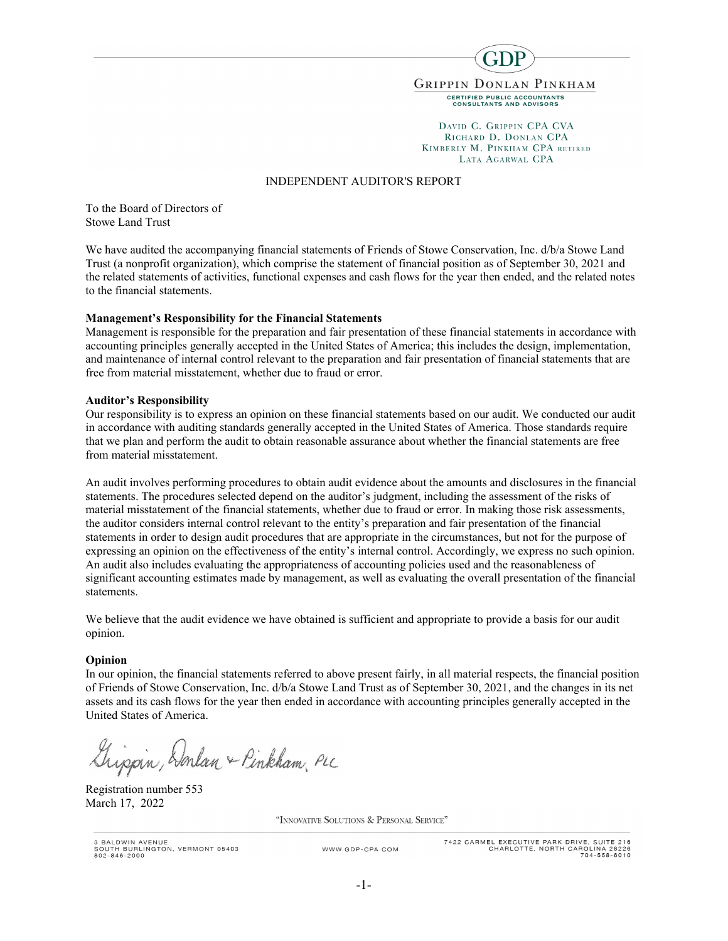

**CERTIFIED PUBLIC ACCOUNTANTS<br>CONSULTANTS AND ADVISORS** 

DAVID C. GRIPPIN CPA CVA RICHARD D. DONLAN CPA KIMBERLY M. PINKHAM CPA RETIRED LATA AGARWAL CPA

#### INDEPENDENT AUDITOR'S REPORT

To the Board of Directors of Stowe Land Trust

We have audited the accompanying financial statements of Friends of Stowe Conservation, Inc. d/b/a Stowe Land Trust (a nonprofit organization), which comprise the statement of financial position as of September 30, 2021 and the related statements of activities, functional expenses and cash flows for the year then ended, and the related notes to the financial statements.

#### **Management's Responsibility for the Financial Statements**

Management is responsible for the preparation and fair presentation of these financial statements in accordance with accounting principles generally accepted in the United States of America; this includes the design, implementation, and maintenance of internal control relevant to the preparation and fair presentation of financial statements that are free from material misstatement, whether due to fraud or error.

#### **Auditor's Responsibility**

Our responsibility is to express an opinion on these financial statements based on our audit. We conducted our audit in accordance with auditing standards generally accepted in the United States of America. Those standards require that we plan and perform the audit to obtain reasonable assurance about whether the financial statements are free from material misstatement.

An audit involves performing procedures to obtain audit evidence about the amounts and disclosures in the financial statements. The procedures selected depend on the auditor's judgment, including the assessment of the risks of material misstatement of the financial statements, whether due to fraud or error. In making those risk assessments, the auditor considers internal control relevant to the entity's preparation and fair presentation of the financial statements in order to design audit procedures that are appropriate in the circumstances, but not for the purpose of expressing an opinion on the effectiveness of the entity's internal control. Accordingly, we express no such opinion. An audit also includes evaluating the appropriateness of accounting policies used and the reasonableness of significant accounting estimates made by management, as well as evaluating the overall presentation of the financial statements.

We believe that the audit evidence we have obtained is sufficient and appropriate to provide a basis for our audit opinion.

#### **Opinion**

In our opinion, the financial statements referred to above present fairly, in all material respects, the financial position of Friends of Stowe Conservation, Inc. d/b/a Stowe Land Trust as of September 30, 2021, and the changes in its net assets and its cash flows for the year then ended in accordance with accounting principles generally accepted in the United States of America.

Grippin, Honlan & Pinkham, PLC

Registration number 553 March 17, 2022

"INNOVATIVE SOLUTIONS & PERSONAL SERVICE"

3 BALDWIN AVENUE<br>SOUTH BURLINGTON, VERMONT 05403<br>802-846-2000

WWW.GDP-CPA.COM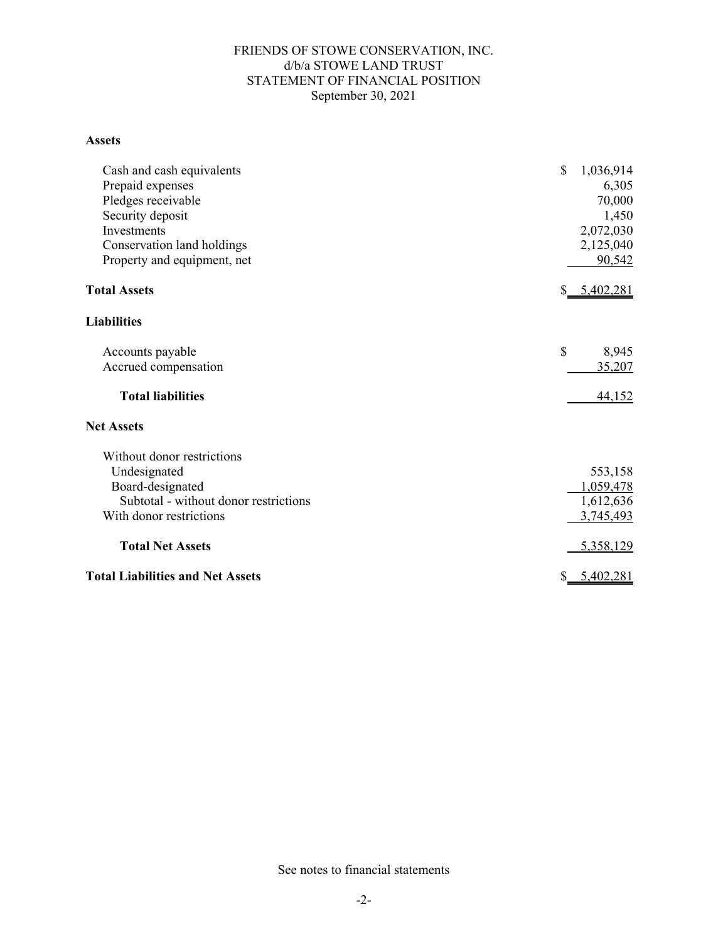# FRIENDS OF STOWE CONSERVATION, INC. d/b/a STOWE LAND TRUST STATEMENT OF FINANCIAL POSITION September 30, 2021

# **Assets**

| Cash and cash equivalents<br>Prepaid expenses<br>Pledges receivable<br>Security deposit<br>Investments<br>Conservation land holdings<br>Property and equipment, net | \$<br>1,036,914<br>6,305<br>70,000<br>1,450<br>2,072,030<br>2,125,040<br>90,542 |
|---------------------------------------------------------------------------------------------------------------------------------------------------------------------|---------------------------------------------------------------------------------|
| <b>Total Assets</b>                                                                                                                                                 | \$ 5,402,281                                                                    |
| <b>Liabilities</b>                                                                                                                                                  |                                                                                 |
| Accounts payable<br>Accrued compensation                                                                                                                            | \$<br>8,945<br>35,207                                                           |
| <b>Total liabilities</b>                                                                                                                                            | 44,152                                                                          |
| <b>Net Assets</b>                                                                                                                                                   |                                                                                 |
| Without donor restrictions<br>Undesignated<br>Board-designated<br>Subtotal - without donor restrictions<br>With donor restrictions<br><b>Total Net Assets</b>       | 553,158<br>1,059,478<br>1,612,636<br>3,745,493<br>5,358,129                     |
| <b>Total Liabilities and Net Assets</b>                                                                                                                             | 5,402,281                                                                       |

See notes to financial statements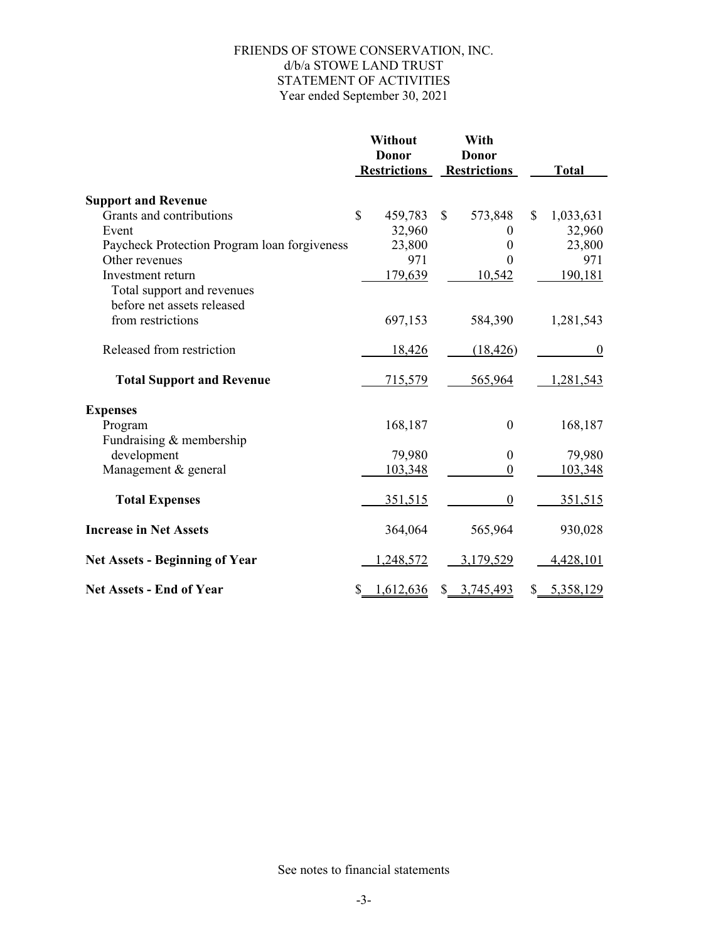# FRIENDS OF STOWE CONSERVATION, INC. d/b/a STOWE LAND TRUST STATEMENT OF ACTIVITIES Year ended September 30, 2021

|                                              |              | <b>Without</b><br>Donor<br><b>Restrictions</b> |              | With<br><b>Donor</b><br><b>Restrictions</b> | <b>Total</b>    |
|----------------------------------------------|--------------|------------------------------------------------|--------------|---------------------------------------------|-----------------|
| <b>Support and Revenue</b>                   |              |                                                |              |                                             |                 |
| Grants and contributions                     | $\mathbb{S}$ | 459,783                                        | $\mathbb{S}$ | 573,848                                     | \$<br>1,033,631 |
| Event                                        |              | 32,960                                         |              | 0                                           | 32,960          |
| Paycheck Protection Program loan forgiveness |              | 23,800                                         |              | $\boldsymbol{0}$                            | 23,800          |
| Other revenues                               |              | 971                                            |              | $\theta$                                    | 971             |
| Investment return                            |              | 179,639                                        |              | 10,542                                      | 190,181         |
| Total support and revenues                   |              |                                                |              |                                             |                 |
| before net assets released                   |              |                                                |              |                                             |                 |
| from restrictions                            |              | 697,153                                        |              | 584,390                                     | 1,281,543       |
| Released from restriction                    |              | 18,426                                         |              | (18, 426)                                   | $\bf{0}$        |
| <b>Total Support and Revenue</b>             |              | 715,579                                        |              | 565,964                                     | 1,281,543       |
| <b>Expenses</b>                              |              |                                                |              |                                             |                 |
| Program                                      |              | 168,187                                        |              | $\mathbf{0}$                                | 168,187         |
| Fundraising & membership                     |              |                                                |              |                                             |                 |
| development                                  |              | 79,980                                         |              | $\boldsymbol{0}$                            | 79,980          |
| Management & general                         |              | 103,348                                        |              | $\overline{0}$                              | 103,348         |
| <b>Total Expenses</b>                        |              | 351,515                                        |              | $\overline{0}$                              | 351,515         |
| <b>Increase in Net Assets</b>                |              | 364,064                                        |              | 565,964                                     | 930,028         |
| <b>Net Assets - Beginning of Year</b>        |              | 1,248,572                                      |              | 3,179,529                                   | 4,428,101       |
| <b>Net Assets - End of Year</b>              |              | \$1,612,636                                    |              | \$3,745,493                                 | \$ 5,358,129    |

See notes to financial statements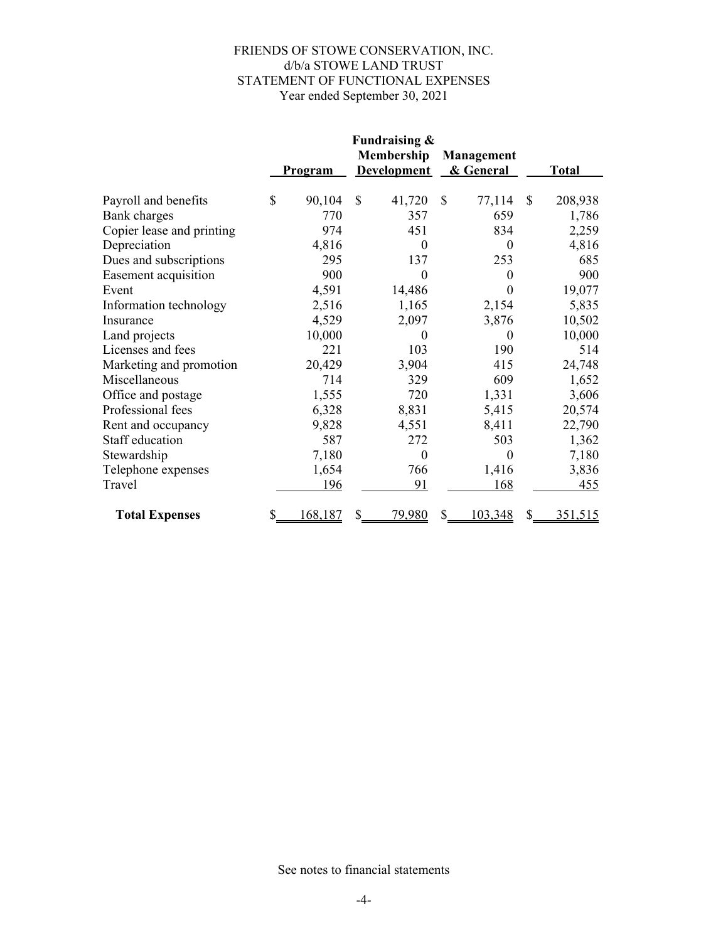# FRIENDS OF STOWE CONSERVATION, INC. d/b/a STOWE LAND TRUST STATEMENT OF FUNCTIONAL EXPENSES Year ended September 30, 2021

|                           |              |                |    | <b>Fundraising &amp;</b> |   |            |    |              |
|---------------------------|--------------|----------------|----|--------------------------|---|------------|----|--------------|
|                           |              |                |    | Membership               |   | Management |    |              |
|                           |              | <b>Program</b> |    | <b>Development</b>       |   | & General  |    | <b>Total</b> |
| Payroll and benefits      | $\mathbb{S}$ | 90,104         | \$ | 41,720                   | S | 77,114     | \$ | 208,938      |
| Bank charges              |              | 770            |    | 357                      |   | 659        |    | 1,786        |
| Copier lease and printing |              | 974            |    | 451                      |   | 834        |    | 2,259        |
| Depreciation              |              | 4,816          |    | $\Omega$                 |   | $\Omega$   |    | 4,816        |
| Dues and subscriptions    |              | 295            |    | 137                      |   | 253        |    | 685          |
| Easement acquisition      |              | 900            |    | $\Omega$                 |   | $\theta$   |    | 900          |
| Event                     |              | 4,591          |    | 14,486                   |   | $\theta$   |    | 19,077       |
| Information technology    |              | 2,516          |    | 1,165                    |   | 2,154      |    | 5,835        |
| Insurance                 |              | 4,529          |    | 2,097                    |   | 3,876      |    | 10,502       |
| Land projects             |              | 10,000         |    | $\theta$                 |   | $\theta$   |    | 10,000       |
| Licenses and fees         |              | 221            |    | 103                      |   | 190        |    | 514          |
| Marketing and promotion   |              | 20,429         |    | 3,904                    |   | 415        |    | 24,748       |
| Miscellaneous             |              | 714            |    | 329                      |   | 609        |    | 1,652        |
| Office and postage        |              | 1,555          |    | 720                      |   | 1,331      |    | 3,606        |
| Professional fees         |              | 6,328          |    | 8,831                    |   | 5,415      |    | 20,574       |
| Rent and occupancy        |              | 9,828          |    | 4,551                    |   | 8,411      |    | 22,790       |
| Staff education           |              | 587            |    | 272                      |   | 503        |    | 1,362        |
| Stewardship               |              | 7,180          |    | $\Omega$                 |   | $\Omega$   |    | 7,180        |
| Telephone expenses        |              | 1,654          |    | 766                      |   | 1,416      |    | 3,836        |
| Travel                    |              | 196            |    | 91                       |   | 168        |    | 455          |
| <b>Total Expenses</b>     |              | <u>168,187</u> | S  | <u>79,980</u>            |   | 103,348    | S  | 351,515      |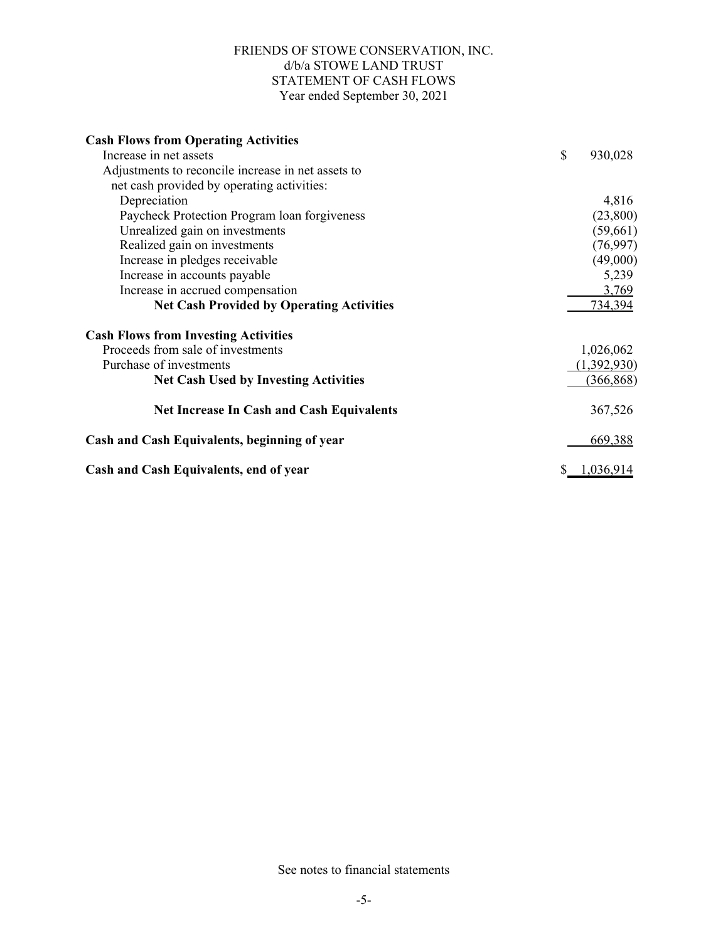# FRIENDS OF STOWE CONSERVATION, INC. d/b/a STOWE LAND TRUST STATEMENT OF CASH FLOWS Year ended September 30, 2021

| <b>Cash Flows from Operating Activities</b>        |               |             |
|----------------------------------------------------|---------------|-------------|
| Increase in net assets                             | $\mathcal{S}$ | 930,028     |
| Adjustments to reconcile increase in net assets to |               |             |
| net cash provided by operating activities:         |               |             |
| Depreciation                                       |               | 4,816       |
| Paycheck Protection Program loan forgiveness       |               | (23,800)    |
| Unrealized gain on investments                     |               | (59,661)    |
| Realized gain on investments                       |               | (76,997)    |
| Increase in pledges receivable                     |               | (49,000)    |
| Increase in accounts payable                       |               | 5,239       |
| Increase in accrued compensation                   |               | 3,769       |
| <b>Net Cash Provided by Operating Activities</b>   |               | 734,394     |
| <b>Cash Flows from Investing Activities</b>        |               |             |
| Proceeds from sale of investments                  |               | 1,026,062   |
| Purchase of investments                            |               | (1,392,930) |
| <b>Net Cash Used by Investing Activities</b>       |               | (366, 868)  |
| <b>Net Increase In Cash and Cash Equivalents</b>   |               | 367,526     |
| Cash and Cash Equivalents, beginning of year       |               | 669,388     |
| Cash and Cash Equivalents, end of year             |               | 1,036,914   |

See notes to financial statements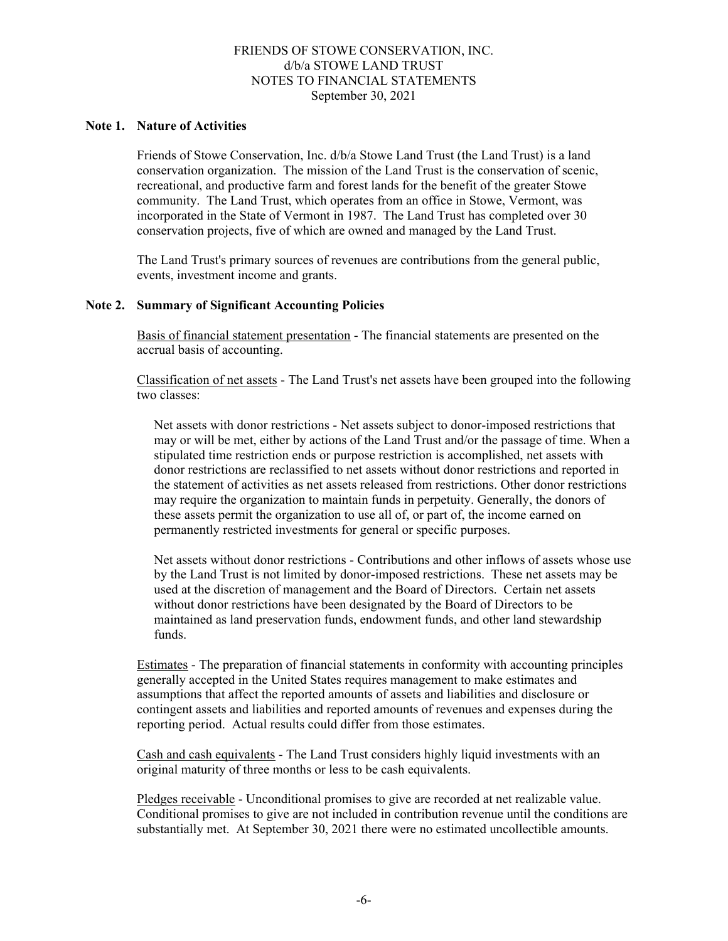#### **Note 1. Nature of Activities**

Friends of Stowe Conservation, Inc. d/b/a Stowe Land Trust (the Land Trust) is a land conservation organization. The mission of the Land Trust is the conservation of scenic, recreational, and productive farm and forest lands for the benefit of the greater Stowe community. The Land Trust, which operates from an office in Stowe, Vermont, was incorporated in the State of Vermont in 1987. The Land Trust has completed over 30 conservation projects, five of which are owned and managed by the Land Trust.

The Land Trust's primary sources of revenues are contributions from the general public, events, investment income and grants.

#### **Note 2. Summary of Significant Accounting Policies**

Basis of financial statement presentation - The financial statements are presented on the accrual basis of accounting.

Classification of net assets - The Land Trust's net assets have been grouped into the following two classes:

Net assets with donor restrictions - Net assets subject to donor-imposed restrictions that may or will be met, either by actions of the Land Trust and/or the passage of time. When a stipulated time restriction ends or purpose restriction is accomplished, net assets with donor restrictions are reclassified to net assets without donor restrictions and reported in the statement of activities as net assets released from restrictions. Other donor restrictions may require the organization to maintain funds in perpetuity. Generally, the donors of these assets permit the organization to use all of, or part of, the income earned on permanently restricted investments for general or specific purposes.

Net assets without donor restrictions - Contributions and other inflows of assets whose use by the Land Trust is not limited by donor-imposed restrictions. These net assets may be used at the discretion of management and the Board of Directors. Certain net assets without donor restrictions have been designated by the Board of Directors to be maintained as land preservation funds, endowment funds, and other land stewardship funds.

Estimates - The preparation of financial statements in conformity with accounting principles generally accepted in the United States requires management to make estimates and assumptions that affect the reported amounts of assets and liabilities and disclosure or contingent assets and liabilities and reported amounts of revenues and expenses during the reporting period. Actual results could differ from those estimates.

Cash and cash equivalents - The Land Trust considers highly liquid investments with an original maturity of three months or less to be cash equivalents.

Pledges receivable - Unconditional promises to give are recorded at net realizable value. Conditional promises to give are not included in contribution revenue until the conditions are substantially met. At September 30, 2021 there were no estimated uncollectible amounts.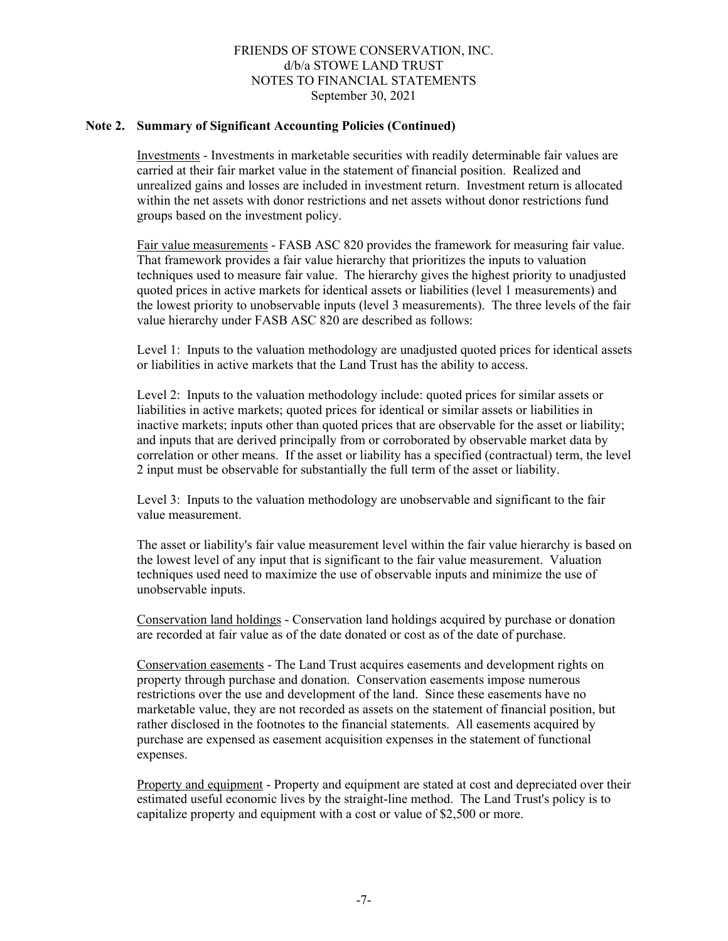#### **Note 2. Summary of Significant Accounting Policies (Continued)**

Investments - Investments in marketable securities with readily determinable fair values are carried at their fair market value in the statement of financial position. Realized and unrealized gains and losses are included in investment return. Investment return is allocated within the net assets with donor restrictions and net assets without donor restrictions fund groups based on the investment policy.

Fair value measurements - FASB ASC 820 provides the framework for measuring fair value. That framework provides a fair value hierarchy that prioritizes the inputs to valuation techniques used to measure fair value. The hierarchy gives the highest priority to unadjusted quoted prices in active markets for identical assets or liabilities (level 1 measurements) and the lowest priority to unobservable inputs (level 3 measurements). The three levels of the fair value hierarchy under FASB ASC 820 are described as follows:

Level 1: Inputs to the valuation methodology are unadjusted quoted prices for identical assets or liabilities in active markets that the Land Trust has the ability to access.

Level 2: Inputs to the valuation methodology include: quoted prices for similar assets or liabilities in active markets; quoted prices for identical or similar assets or liabilities in inactive markets; inputs other than quoted prices that are observable for the asset or liability; and inputs that are derived principally from or corroborated by observable market data by correlation or other means. If the asset or liability has a specified (contractual) term, the level 2 input must be observable for substantially the full term of the asset or liability.

Level 3: Inputs to the valuation methodology are unobservable and significant to the fair value measurement.

The asset or liability's fair value measurement level within the fair value hierarchy is based on the lowest level of any input that is significant to the fair value measurement. Valuation techniques used need to maximize the use of observable inputs and minimize the use of unobservable inputs.

Conservation land holdings - Conservation land holdings acquired by purchase or donation are recorded at fair value as of the date donated or cost as of the date of purchase.

Conservation easements - The Land Trust acquires easements and development rights on property through purchase and donation. Conservation easements impose numerous restrictions over the use and development of the land. Since these easements have no marketable value, they are not recorded as assets on the statement of financial position, but rather disclosed in the footnotes to the financial statements. All easements acquired by purchase are expensed as easement acquisition expenses in the statement of functional expenses.

Property and equipment - Property and equipment are stated at cost and depreciated over their estimated useful economic lives by the straight-line method. The Land Trust's policy is to capitalize property and equipment with a cost or value of \$2,500 or more.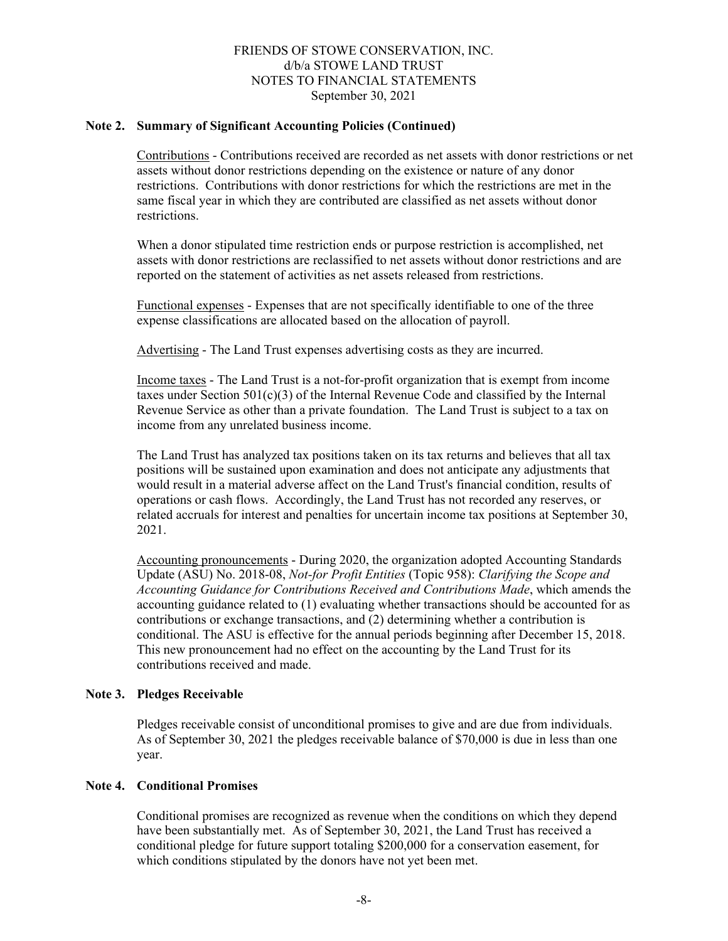#### **Note 2. Summary of Significant Accounting Policies (Continued)**

Contributions - Contributions received are recorded as net assets with donor restrictions or net assets without donor restrictions depending on the existence or nature of any donor restrictions. Contributions with donor restrictions for which the restrictions are met in the same fiscal year in which they are contributed are classified as net assets without donor restrictions.

When a donor stipulated time restriction ends or purpose restriction is accomplished, net assets with donor restrictions are reclassified to net assets without donor restrictions and are reported on the statement of activities as net assets released from restrictions.

Functional expenses - Expenses that are not specifically identifiable to one of the three expense classifications are allocated based on the allocation of payroll.

Advertising - The Land Trust expenses advertising costs as they are incurred.

Income taxes - The Land Trust is a not-for-profit organization that is exempt from income taxes under Section  $501(c)(3)$  of the Internal Revenue Code and classified by the Internal Revenue Service as other than a private foundation. The Land Trust is subject to a tax on income from any unrelated business income.

The Land Trust has analyzed tax positions taken on its tax returns and believes that all tax positions will be sustained upon examination and does not anticipate any adjustments that would result in a material adverse affect on the Land Trust's financial condition, results of operations or cash flows. Accordingly, the Land Trust has not recorded any reserves, or related accruals for interest and penalties for uncertain income tax positions at September 30, 2021.

Accounting pronouncements - During 2020, the organization adopted Accounting Standards Update (ASU) No. 2018-08, *Not-for Profit Entities* (Topic 958): *Clarifying the Scope and Accounting Guidance for Contributions Received and Contributions Made*, which amends the accounting guidance related to (1) evaluating whether transactions should be accounted for as contributions or exchange transactions, and (2) determining whether a contribution is conditional. The ASU is effective for the annual periods beginning after December 15, 2018. This new pronouncement had no effect on the accounting by the Land Trust for its contributions received and made.

#### **Note 3. Pledges Receivable**

Pledges receivable consist of unconditional promises to give and are due from individuals. As of September 30, 2021 the pledges receivable balance of \$70,000 is due in less than one year.

#### **Note 4. Conditional Promises**

Conditional promises are recognized as revenue when the conditions on which they depend have been substantially met. As of September 30, 2021, the Land Trust has received a conditional pledge for future support totaling \$200,000 for a conservation easement, for which conditions stipulated by the donors have not yet been met.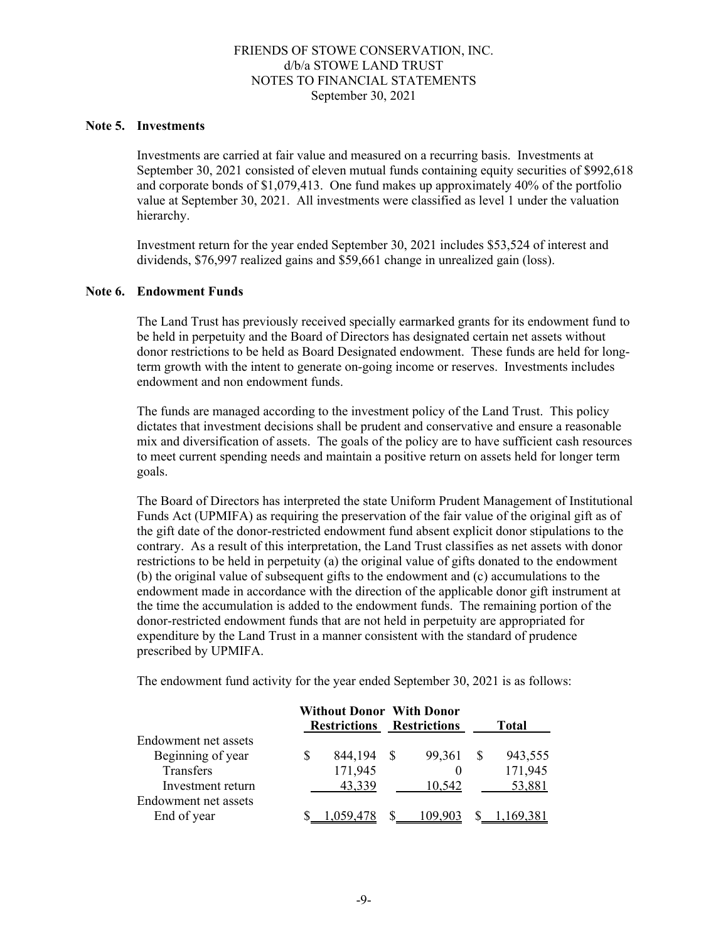#### **Note 5. Investments**

Investments are carried at fair value and measured on a recurring basis. Investments at September 30, 2021 consisted of eleven mutual funds containing equity securities of \$992,618 and corporate bonds of \$1,079,413. One fund makes up approximately 40% of the portfolio value at September 30, 2021. All investments were classified as level 1 under the valuation hierarchy.

Investment return for the year ended September 30, 2021 includes \$53,524 of interest and dividends, \$76,997 realized gains and \$59,661 change in unrealized gain (loss).

#### **Note 6. Endowment Funds**

The Land Trust has previously received specially earmarked grants for its endowment fund to be held in perpetuity and the Board of Directors has designated certain net assets without donor restrictions to be held as Board Designated endowment. These funds are held for longterm growth with the intent to generate on-going income or reserves. Investments includes endowment and non endowment funds.

The funds are managed according to the investment policy of the Land Trust. This policy dictates that investment decisions shall be prudent and conservative and ensure a reasonable mix and diversification of assets. The goals of the policy are to have sufficient cash resources to meet current spending needs and maintain a positive return on assets held for longer term goals.

The Board of Directors has interpreted the state Uniform Prudent Management of Institutional Funds Act (UPMIFA) as requiring the preservation of the fair value of the original gift as of the gift date of the donor-restricted endowment fund absent explicit donor stipulations to the contrary. As a result of this interpretation, the Land Trust classifies as net assets with donor restrictions to be held in perpetuity (a) the original value of gifts donated to the endowment (b) the original value of subsequent gifts to the endowment and (c) accumulations to the endowment made in accordance with the direction of the applicable donor gift instrument at the time the accumulation is added to the endowment funds. The remaining portion of the donor-restricted endowment funds that are not held in perpetuity are appropriated for expenditure by the Land Trust in a manner consistent with the standard of prudence prescribed by UPMIFA.

The endowment fund activity for the year ended September 30, 2021 is as follows:

|                      | <b>Without Donor With Donor</b> |                     |              |
|----------------------|---------------------------------|---------------------|--------------|
|                      | <b>Restrictions</b>             | <b>Restrictions</b> | <b>Total</b> |
| Endowment net assets |                                 |                     |              |
| Beginning of year    | 844,194                         | 99,361              | 943,555      |
| Transfers            | 171,945                         | $\theta$            | 171,945      |
| Investment return    | 43,339                          | 10.542              | 53,881       |
| Endowment net assets |                                 |                     |              |
| End of year          | 1,059,478                       | 109,903             | 169,381      |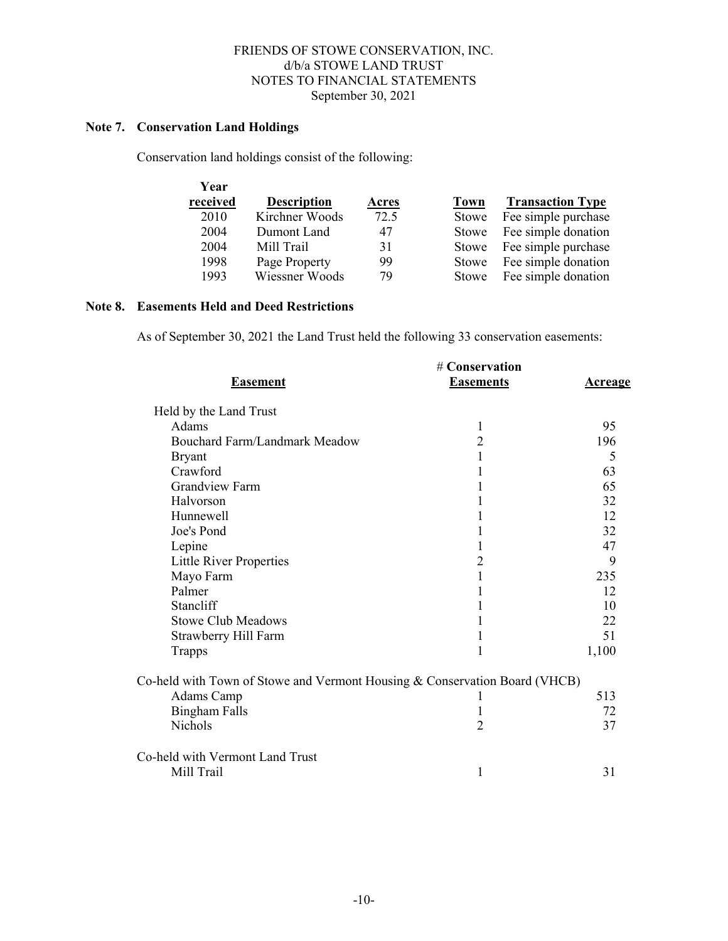# **Note 7. Conservation Land Holdings**

Conservation land holdings consist of the following:

| Year     |                    |       |       |                         |
|----------|--------------------|-------|-------|-------------------------|
| received | <b>Description</b> | Acres | Town  | <b>Transaction Type</b> |
| 2010     | Kirchner Woods     | 72.5  | Stowe | Fee simple purchase     |
| 2004     | Dumont Land        | 47    | Stowe | Fee simple donation     |
| 2004     | Mill Trail         | 31    | Stowe | Fee simple purchase     |
| 1998     | Page Property      | 99    | Stowe | Fee simple donation     |
| 1993     | Wiessner Woods     | 79    | Stowe | Fee simple donation     |

# **Note 8. Easements Held and Deed Restrictions**

As of September 30, 2021 the Land Trust held the following 33 conservation easements:

|                                                                            | # Conservation   |         |
|----------------------------------------------------------------------------|------------------|---------|
| <b>Easement</b>                                                            | <b>Easements</b> | Acreage |
| Held by the Land Trust                                                     |                  |         |
| Adams                                                                      | 1                | 95      |
| Bouchard Farm/Landmark Meadow                                              | $\overline{2}$   | 196     |
| <b>Bryant</b>                                                              | 1                | 5       |
| Crawford                                                                   |                  | 63      |
| <b>Grandview Farm</b>                                                      | 1                | 65      |
| Halvorson                                                                  |                  | 32      |
| Hunnewell                                                                  |                  | 12      |
| Joe's Pond                                                                 | 1                | 32      |
| Lepine                                                                     | 1                | 47      |
| Little River Properties                                                    | $\overline{2}$   | 9       |
| Mayo Farm                                                                  | 1                | 235     |
| Palmer                                                                     |                  | 12      |
| Stancliff                                                                  |                  | 10      |
| <b>Stowe Club Meadows</b>                                                  | 1                | 22      |
| Strawberry Hill Farm                                                       | 1                | 51      |
| Trapps                                                                     |                  | 1,100   |
| Co-held with Town of Stowe and Vermont Housing & Conservation Board (VHCB) |                  |         |
| Adams Camp                                                                 |                  | 513     |
| <b>Bingham Falls</b>                                                       | 1                | 72      |
| <b>Nichols</b>                                                             | $\overline{2}$   | 37      |
| Co-held with Vermont Land Trust                                            |                  |         |
| Mill Trail                                                                 | 1                | 31      |
|                                                                            |                  |         |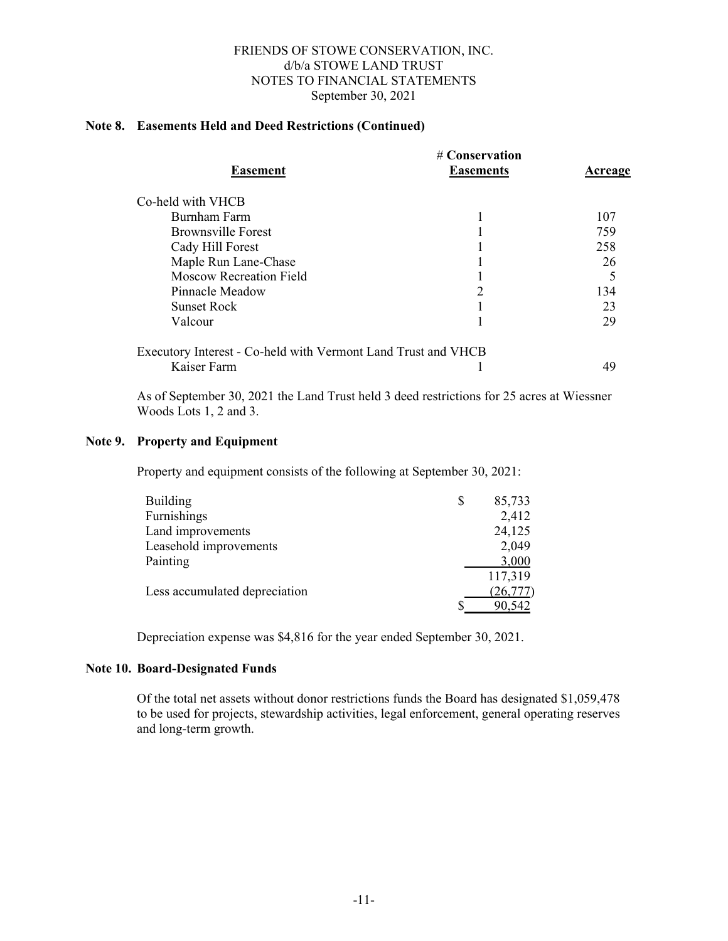#### **Note 8. Easements Held and Deed Restrictions (Continued)**

|                                                               | $#$ Conservation |         |  |
|---------------------------------------------------------------|------------------|---------|--|
| <b>Easement</b>                                               | <b>Easements</b> | Acreage |  |
| Co-held with VHCB                                             |                  |         |  |
| Burnham Farm                                                  |                  | 107     |  |
| <b>Brownsville Forest</b>                                     |                  | 759     |  |
| Cady Hill Forest                                              |                  | 258     |  |
| Maple Run Lane-Chase                                          |                  | 26      |  |
| <b>Moscow Recreation Field</b>                                |                  | 5       |  |
| Pinnacle Meadow                                               | 2                | 134     |  |
| Sunset Rock                                                   |                  | 23      |  |
| Valcour                                                       |                  | 29      |  |
| Executory Interest - Co-held with Vermont Land Trust and VHCB |                  |         |  |
| Kaiser Farm                                                   |                  | 49      |  |

As of September 30, 2021 the Land Trust held 3 deed restrictions for 25 acres at Wiessner Woods Lots 1, 2 and 3.

#### **Note 9. Property and Equipment**

Property and equipment consists of the following at September 30, 2021:

| Building                      | S | 85,733    |
|-------------------------------|---|-----------|
| Furnishings                   |   | 2,412     |
| Land improvements             |   | 24,125    |
| Leasehold improvements        |   | 2,049     |
| Painting                      |   | 3,000     |
|                               |   | 117,319   |
| Less accumulated depreciation |   | (26, 777) |
|                               |   | 90,542    |

Depreciation expense was \$4,816 for the year ended September 30, 2021.

#### **Note 10. Board-Designated Funds**

Of the total net assets without donor restrictions funds the Board has designated \$1,059,478 to be used for projects, stewardship activities, legal enforcement, general operating reserves and long-term growth.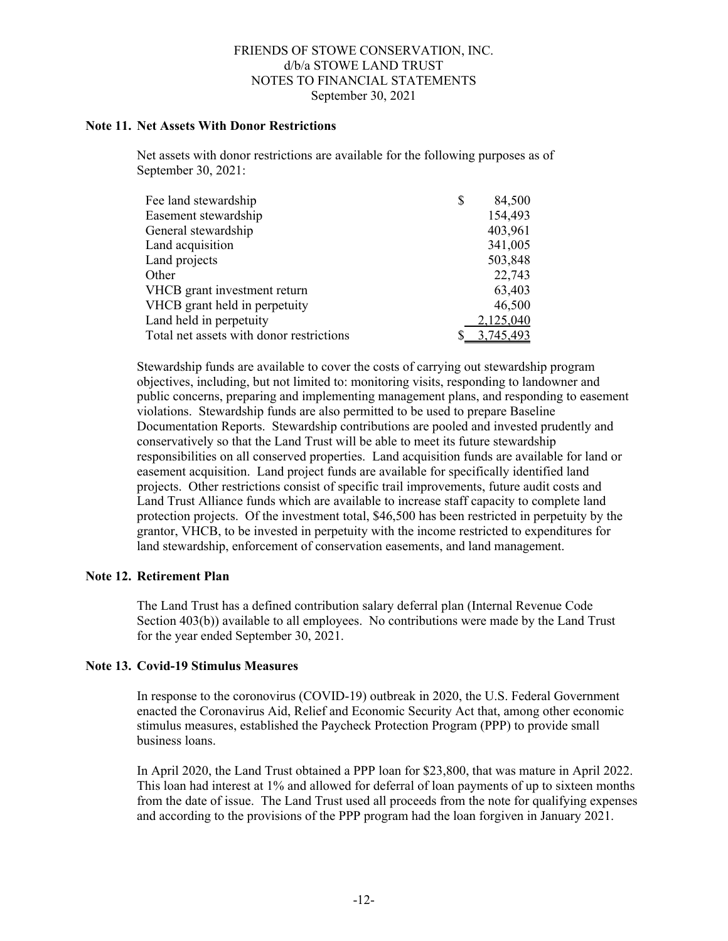#### **Note 11. Net Assets With Donor Restrictions**

Net assets with donor restrictions are available for the following purposes as of September 30, 2021:

| Fee land stewardship                     | \$<br>84,500 |
|------------------------------------------|--------------|
| Easement stewardship                     | 154,493      |
| General stewardship                      | 403,961      |
| Land acquisition                         | 341,005      |
| Land projects                            | 503,848      |
| Other                                    | 22,743       |
| VHCB grant investment return             | 63,403       |
| VHCB grant held in perpetuity            | 46,500       |
| Land held in perpetuity                  | 2,125,040    |
| Total net assets with donor restrictions | 3,745,493    |

Stewardship funds are available to cover the costs of carrying out stewardship program objectives, including, but not limited to: monitoring visits, responding to landowner and public concerns, preparing and implementing management plans, and responding to easement violations. Stewardship funds are also permitted to be used to prepare Baseline Documentation Reports. Stewardship contributions are pooled and invested prudently and conservatively so that the Land Trust will be able to meet its future stewardship responsibilities on all conserved properties. Land acquisition funds are available for land or easement acquisition. Land project funds are available for specifically identified land projects. Other restrictions consist of specific trail improvements, future audit costs and Land Trust Alliance funds which are available to increase staff capacity to complete land protection projects. Of the investment total, \$46,500 has been restricted in perpetuity by the grantor, VHCB, to be invested in perpetuity with the income restricted to expenditures for land stewardship, enforcement of conservation easements, and land management.

#### **Note 12. Retirement Plan**

The Land Trust has a defined contribution salary deferral plan (Internal Revenue Code Section 403(b)) available to all employees. No contributions were made by the Land Trust for the year ended September 30, 2021.

#### **Note 13. Covid-19 Stimulus Measures**

In response to the coronovirus (COVID-19) outbreak in 2020, the U.S. Federal Government enacted the Coronavirus Aid, Relief and Economic Security Act that, among other economic stimulus measures, established the Paycheck Protection Program (PPP) to provide small business loans.

In April 2020, the Land Trust obtained a PPP loan for \$23,800, that was mature in April 2022. This loan had interest at 1% and allowed for deferral of loan payments of up to sixteen months from the date of issue. The Land Trust used all proceeds from the note for qualifying expenses and according to the provisions of the PPP program had the loan forgiven in January 2021.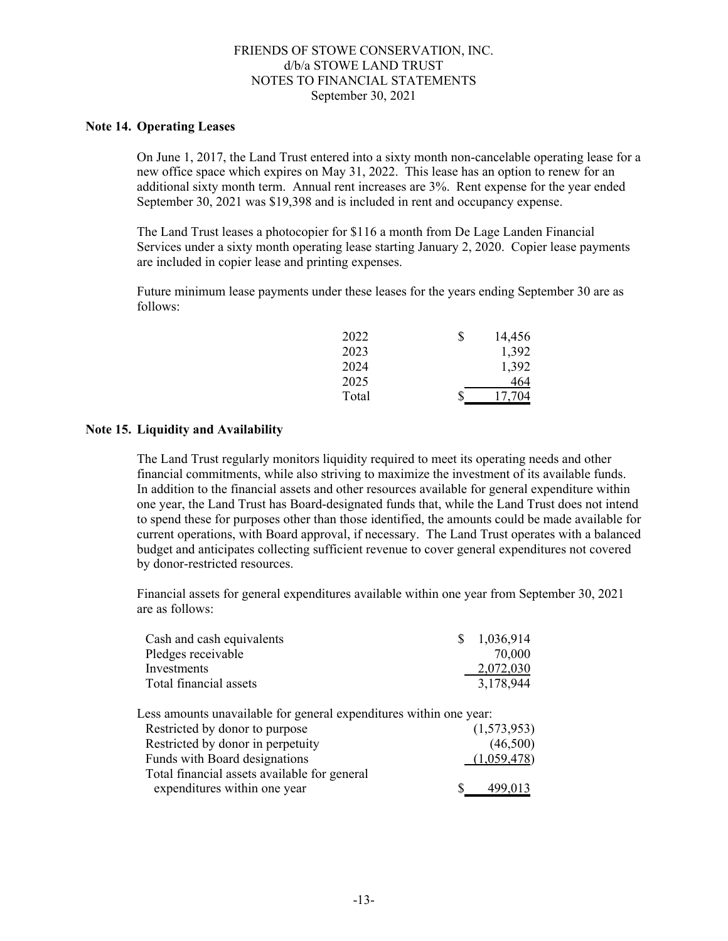#### **Note 14. Operating Leases**

On June 1, 2017, the Land Trust entered into a sixty month non-cancelable operating lease for a new office space which expires on May 31, 2022. This lease has an option to renew for an additional sixty month term. Annual rent increases are 3%. Rent expense for the year ended September 30, 2021 was \$19,398 and is included in rent and occupancy expense.

The Land Trust leases a photocopier for \$116 a month from De Lage Landen Financial Services under a sixty month operating lease starting January 2, 2020. Copier lease payments are included in copier lease and printing expenses.

Future minimum lease payments under these leases for the years ending September 30 are as follows:

| 2022  | ж | 14,456 |
|-------|---|--------|
| 2023  |   | 1,392  |
| 2024  |   | 1,392  |
| 2025  |   | 464    |
| Total |   |        |

#### **Note 15. Liquidity and Availability**

The Land Trust regularly monitors liquidity required to meet its operating needs and other financial commitments, while also striving to maximize the investment of its available funds. In addition to the financial assets and other resources available for general expenditure within one year, the Land Trust has Board-designated funds that, while the Land Trust does not intend to spend these for purposes other than those identified, the amounts could be made available for current operations, with Board approval, if necessary. The Land Trust operates with a balanced budget and anticipates collecting sufficient revenue to cover general expenditures not covered by donor-restricted resources.

Financial assets for general expenditures available within one year from September 30, 2021 are as follows:

| Cash and cash equivalents | \$1,036,914 |
|---------------------------|-------------|
| Pledges receivable        | 70,000      |
| Investments               | 2,072,030   |
| Total financial assets    | 3,178,944   |
|                           |             |

| Less amounts unavailable for general expenditures within one year: |             |
|--------------------------------------------------------------------|-------------|
| Restricted by donor to purpose                                     | (1,573,953) |
| Restricted by donor in perpetuity                                  | (46,500)    |
| Funds with Board designations                                      | (1,059,478) |
| Total financial assets available for general                       |             |
| expenditures within one year                                       | 499,013     |